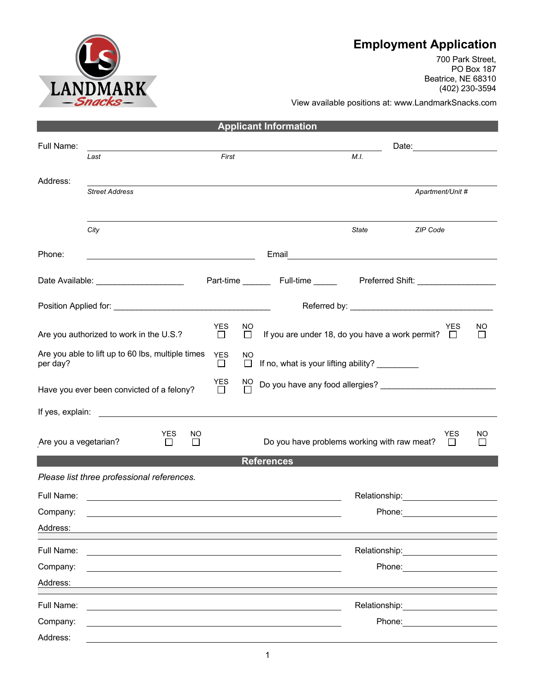## **Employment Application**

700 Park Street, PO Box 187 Beatrice, NE 68310 (402) 230-3594

View available positions at: www.LandmarkSnacks.com

| <b>Applicant Information</b>                                  |                                                    |                      |                     |                                                                                                                                                                                                                                |  |  |  |
|---------------------------------------------------------------|----------------------------------------------------|----------------------|---------------------|--------------------------------------------------------------------------------------------------------------------------------------------------------------------------------------------------------------------------------|--|--|--|
| Full Name:                                                    |                                                    |                      |                     |                                                                                                                                                                                                                                |  |  |  |
|                                                               | Last                                               | First                |                     | M.I.                                                                                                                                                                                                                           |  |  |  |
| Address:                                                      |                                                    |                      |                     |                                                                                                                                                                                                                                |  |  |  |
|                                                               | <b>Street Address</b>                              |                      |                     | Apartment/Unit #                                                                                                                                                                                                               |  |  |  |
|                                                               |                                                    |                      |                     |                                                                                                                                                                                                                                |  |  |  |
|                                                               | City                                               |                      |                     | <b>State</b><br>ZIP Code                                                                                                                                                                                                       |  |  |  |
| Phone:                                                        | <u> 1989 - Johann Barn, mars eta biztanleria (</u> |                      |                     |                                                                                                                                                                                                                                |  |  |  |
|                                                               | Date Available: ______________________             |                      |                     | Part-time __________ Full-time _____________ Preferred Shift: __________________                                                                                                                                               |  |  |  |
|                                                               |                                                    |                      |                     |                                                                                                                                                                                                                                |  |  |  |
|                                                               |                                                    | <b>YES</b>           | NO                  | ΝO<br><b>YES</b>                                                                                                                                                                                                               |  |  |  |
|                                                               | Are you authorized to work in the U.S.?            | $\Box$               | $\Box$              | If you are under 18, do you have a work permit? $\square$<br>$\perp$                                                                                                                                                           |  |  |  |
| Are you able to lift up to 60 lbs, multiple times<br>per day? |                                                    | <b>YES</b><br>$\Box$ | <b>NO</b><br>$\Box$ | If no, what is your lifting ability? _________                                                                                                                                                                                 |  |  |  |
| Have you ever been convicted of a felony?                     | YES<br>$\Box$                                      | $\frac{NO}{\Box}$    |                     |                                                                                                                                                                                                                                |  |  |  |
|                                                               |                                                    |                      |                     |                                                                                                                                                                                                                                |  |  |  |
| Are you a vegetarian?                                         | <b>YES</b><br>NO.<br>$\Box$<br>$\Box$              |                      |                     | YES<br>NO<br>Do you have problems working with raw meat?<br>$\mathsf{L}$<br>$\Box$                                                                                                                                             |  |  |  |
| <b>References</b>                                             |                                                    |                      |                     |                                                                                                                                                                                                                                |  |  |  |
|                                                               | Please list three professional references.         |                      |                     |                                                                                                                                                                                                                                |  |  |  |
| Full Name:                                                    |                                                    |                      |                     | Relationship: 2000                                                                                                                                                                                                             |  |  |  |
| Company:                                                      |                                                    |                      |                     |                                                                                                                                                                                                                                |  |  |  |
| Address:                                                      |                                                    |                      |                     |                                                                                                                                                                                                                                |  |  |  |
| Full Name:                                                    |                                                    |                      |                     | Relationship: example and all the set of the set of the set of the set of the set of the set of the set of the                                                                                                                 |  |  |  |
| Company:                                                      |                                                    |                      |                     | Phone:                                                                                                                                                                                                                         |  |  |  |
| Address:                                                      |                                                    |                      |                     |                                                                                                                                                                                                                                |  |  |  |
| Full Name:                                                    |                                                    |                      |                     | Relationship: example and the set of the set of the set of the set of the set of the set of the set of the set of the set of the set of the set of the set of the set of the set of the set of the set of the set of the set o |  |  |  |
| Company:                                                      |                                                    |                      |                     | Phone:                                                                                                                                                                                                                         |  |  |  |
| Address:                                                      |                                                    |                      |                     |                                                                                                                                                                                                                                |  |  |  |